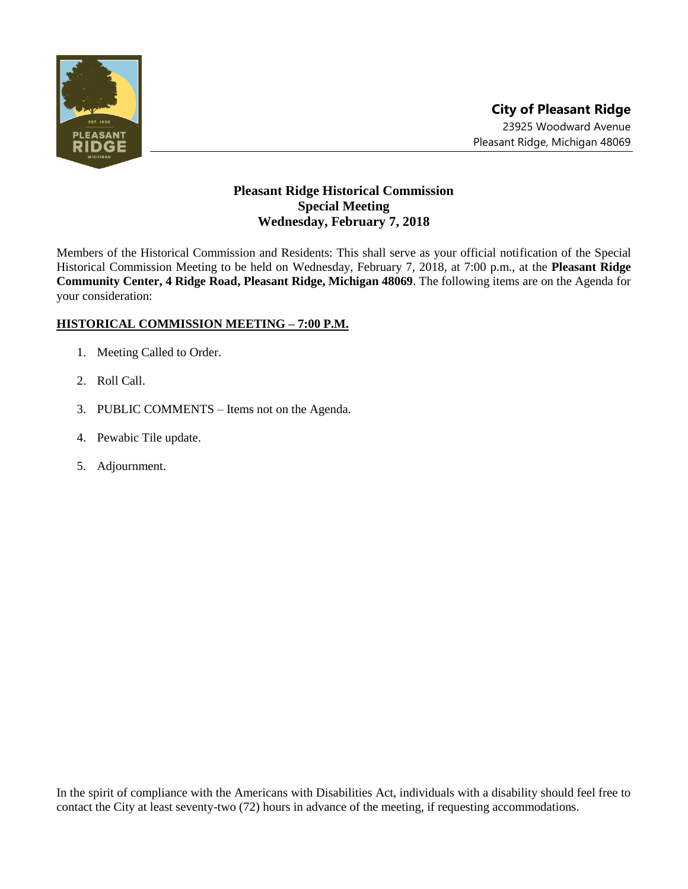

## **Pleasant Ridge Historical Commission Special Meeting Wednesday, February 7, 2018**

Members of the Historical Commission and Residents: This shall serve as your official notification of the Special Historical Commission Meeting to be held on Wednesday, February 7, 2018, at 7:00 p.m., at the **Pleasant Ridge Community Center, 4 Ridge Road, Pleasant Ridge, Michigan 48069**. The following items are on the Agenda for your consideration:

## **HISTORICAL COMMISSION MEETING – 7:00 P.M.**

- 1. Meeting Called to Order.
- 2. Roll Call.
- 3. PUBLIC COMMENTS Items not on the Agenda.
- 4. Pewabic Tile update.
- 5. Adjournment.

In the spirit of compliance with the Americans with Disabilities Act, individuals with a disability should feel free to contact the City at least seventy-two (72) hours in advance of the meeting, if requesting accommodations.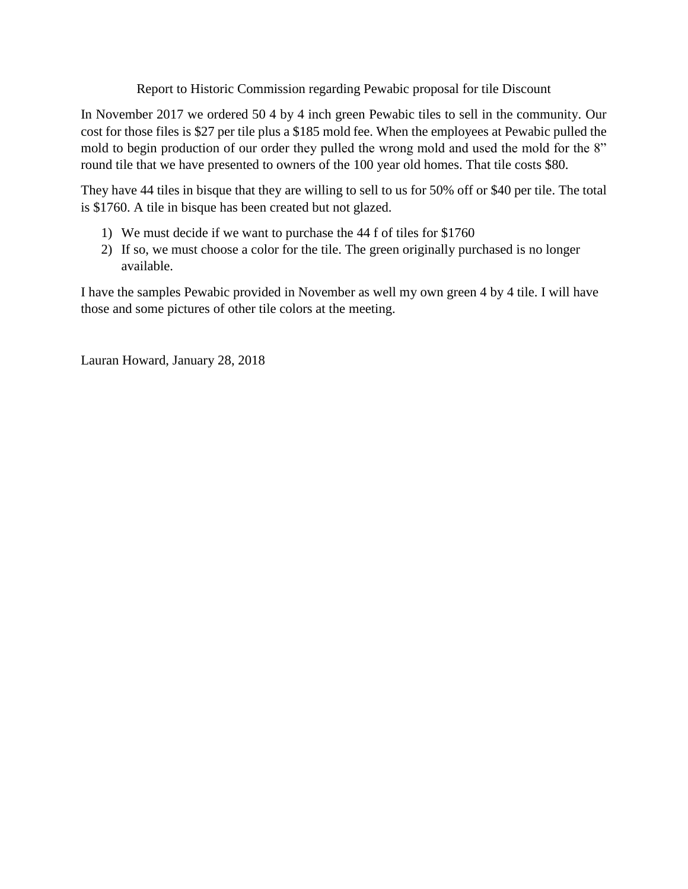Report to Historic Commission regarding Pewabic proposal for tile Discount

In November 2017 we ordered 50 4 by 4 inch green Pewabic tiles to sell in the community. Our cost for those files is \$27 per tile plus a \$185 mold fee. When the employees at Pewabic pulled the mold to begin production of our order they pulled the wrong mold and used the mold for the 8" round tile that we have presented to owners of the 100 year old homes. That tile costs \$80.

They have 44 tiles in bisque that they are willing to sell to us for 50% off or \$40 per tile. The total is \$1760. A tile in bisque has been created but not glazed.

- 1) We must decide if we want to purchase the 44 f of tiles for \$1760
- 2) If so, we must choose a color for the tile. The green originally purchased is no longer available.

I have the samples Pewabic provided in November as well my own green 4 by 4 tile. I will have those and some pictures of other tile colors at the meeting.

Lauran Howard, January 28, 2018